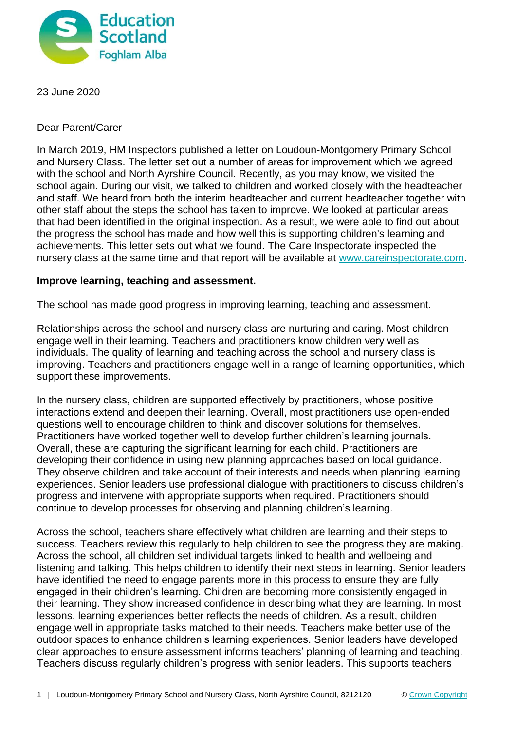

23 June 2020

Dear Parent/Carer

In March 2019, HM Inspectors published a letter on Loudoun-Montgomery Primary School and Nursery Class. The letter set out a number of areas for improvement which we agreed with the school and North Ayrshire Council. Recently, as you may know, we visited the school again. During our visit, we talked to children and worked closely with the headteacher and staff. We heard from both the interim headteacher and current headteacher together with other staff about the steps the school has taken to improve. We looked at particular areas that had been identified in the original inspection. As a result, we were able to find out about the progress the school has made and how well this is supporting children's learning and achievements. This letter sets out what we found. The Care Inspectorate inspected the nursery class at the same time and that report will be available at [www.careinspectorate.com.](http://www.careinspectorate.com/)

## **Improve learning, teaching and assessment.**

The school has made good progress in improving learning, teaching and assessment.

Relationships across the school and nursery class are nurturing and caring. Most children engage well in their learning. Teachers and practitioners know children very well as individuals. The quality of learning and teaching across the school and nursery class is improving. Teachers and practitioners engage well in a range of learning opportunities, which support these improvements.

In the nursery class, children are supported effectively by practitioners, whose positive interactions extend and deepen their learning. Overall, most practitioners use open-ended questions well to encourage children to think and discover solutions for themselves. Practitioners have worked together well to develop further children's learning journals. Overall, these are capturing the significant learning for each child. Practitioners are developing their confidence in using new planning approaches based on local guidance. They observe children and take account of their interests and needs when planning learning experiences. Senior leaders use professional dialogue with practitioners to discuss children's progress and intervene with appropriate supports when required. Practitioners should continue to develop processes for observing and planning children's learning.

Across the school, teachers share effectively what children are learning and their steps to success. Teachers review this regularly to help children to see the progress they are making. Across the school, all children set individual targets linked to health and wellbeing and listening and talking. This helps children to identify their next steps in learning. Senior leaders have identified the need to engage parents more in this process to ensure they are fully engaged in their children's learning. Children are becoming more consistently engaged in their learning. They show increased confidence in describing what they are learning. In most lessons, learning experiences better reflects the needs of children. As a result, children engage well in appropriate tasks matched to their needs. Teachers make better use of the outdoor spaces to enhance children's learning experiences. Senior leaders have developed clear approaches to ensure assessment informs teachers' planning of learning and teaching. Teachers discuss regularly children's progress with senior leaders. This supports teachers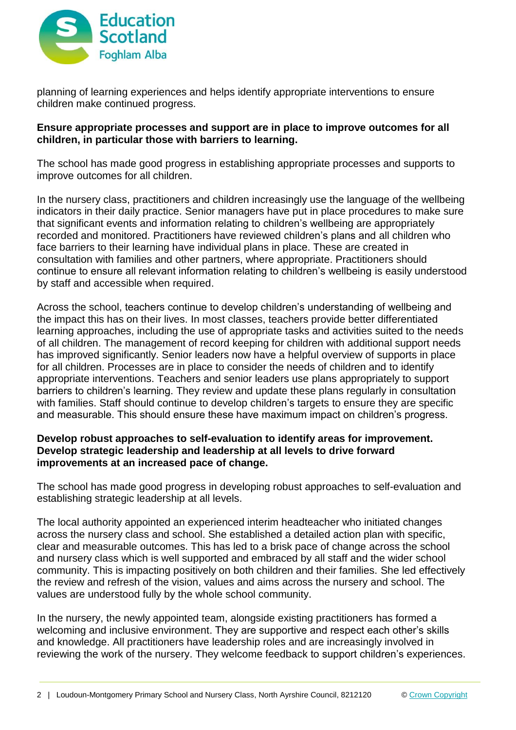

planning of learning experiences and helps identify appropriate interventions to ensure children make continued progress.

## **Ensure appropriate processes and support are in place to improve outcomes for all children, in particular those with barriers to learning.**

The school has made good progress in establishing appropriate processes and supports to improve outcomes for all children.

In the nursery class, practitioners and children increasingly use the language of the wellbeing indicators in their daily practice. Senior managers have put in place procedures to make sure that significant events and information relating to children's wellbeing are appropriately recorded and monitored. Practitioners have reviewed children's plans and all children who face barriers to their learning have individual plans in place. These are created in consultation with families and other partners, where appropriate. Practitioners should continue to ensure all relevant information relating to children's wellbeing is easily understood by staff and accessible when required.

Across the school, teachers continue to develop children's understanding of wellbeing and the impact this has on their lives. In most classes, teachers provide better differentiated learning approaches, including the use of appropriate tasks and activities suited to the needs of all children. The management of record keeping for children with additional support needs has improved significantly. Senior leaders now have a helpful overview of supports in place for all children. Processes are in place to consider the needs of children and to identify appropriate interventions. Teachers and senior leaders use plans appropriately to support barriers to children's learning. They review and update these plans regularly in consultation with families. Staff should continue to develop children's targets to ensure they are specific and measurable. This should ensure these have maximum impact on children's progress.

## **Develop robust approaches to self-evaluation to identify areas for improvement. Develop strategic leadership and leadership at all levels to drive forward improvements at an increased pace of change.**

The school has made good progress in developing robust approaches to self-evaluation and establishing strategic leadership at all levels.

The local authority appointed an experienced interim headteacher who initiated changes across the nursery class and school. She established a detailed action plan with specific, clear and measurable outcomes. This has led to a brisk pace of change across the school and nursery class which is well supported and embraced by all staff and the wider school community. This is impacting positively on both children and their families. She led effectively the review and refresh of the vision, values and aims across the nursery and school. The values are understood fully by the whole school community.

In the nursery, the newly appointed team, alongside existing practitioners has formed a welcoming and inclusive environment. They are supportive and respect each other's skills and knowledge. All practitioners have leadership roles and are increasingly involved in reviewing the work of the nursery. They welcome feedback to support children's experiences.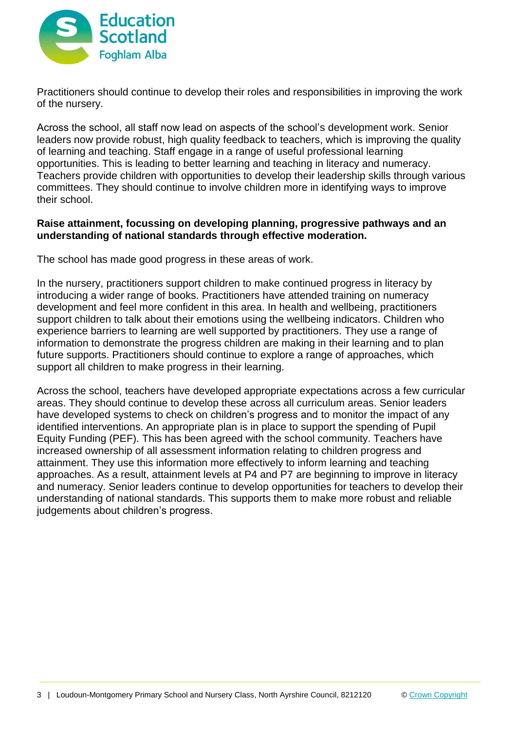

Practitioners should continue to develop their roles and responsibilities in improving the work of the nursery.

Across the school, all staff now lead on aspects of the school's development work. Senior leaders now provide robust, high quality feedback to teachers, which is improving the quality of learning and teaching. Staff engage in a range of useful professional learning opportunities. This is leading to better learning and teaching in literacy and numeracy. Teachers provide children with opportunities to develop their leadership skills through various committees. They should continue to involve children more in identifying ways to improve their school.

# **Raise attainment, focussing on developing planning, progressive pathways and an understanding of national standards through effective moderation.**

The school has made good progress in these areas of work.

In the nursery, practitioners support children to make continued progress in literacy by introducing a wider range of books. Practitioners have attended training on numeracy development and feel more confident in this area. In health and wellbeing, practitioners support children to talk about their emotions using the wellbeing indicators. Children who experience barriers to learning are well supported by practitioners. They use a range of information to demonstrate the progress children are making in their learning and to plan future supports. Practitioners should continue to explore a range of approaches, which support all children to make progress in their learning.

Across the school, teachers have developed appropriate expectations across a few curricular areas. They should continue to develop these across all curriculum areas. Senior leaders have developed systems to check on children's progress and to monitor the impact of any identified interventions. An appropriate plan is in place to support the spending of Pupil Equity Funding (PEF). This has been agreed with the school community. Teachers have increased ownership of all assessment information relating to children progress and attainment. They use this information more effectively to inform learning and teaching approaches. As a result, attainment levels at P4 and P7 are beginning to improve in literacy and numeracy. Senior leaders continue to develop opportunities for teachers to develop their understanding of national standards. This supports them to make more robust and reliable judgements about children's progress.